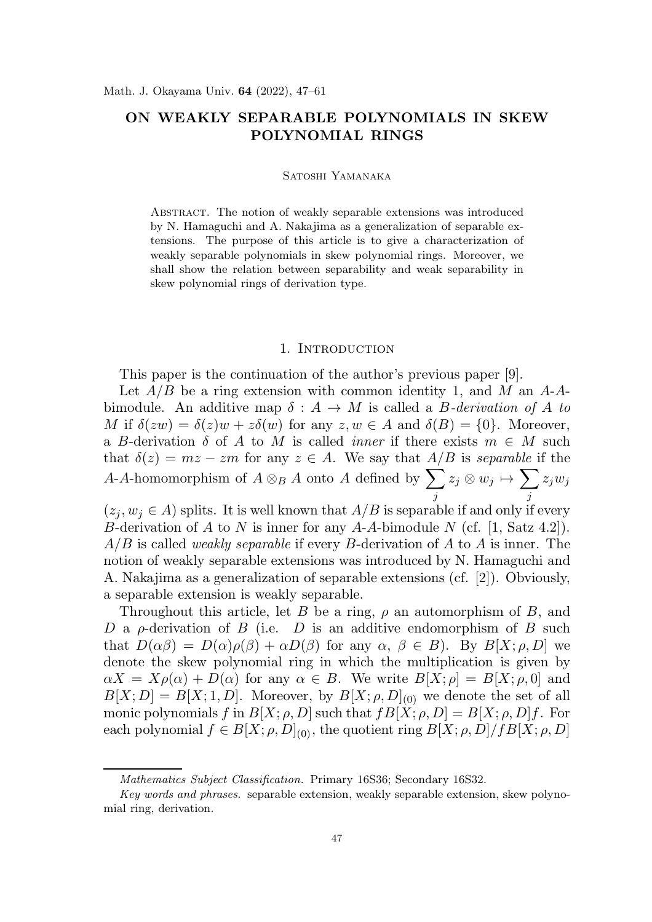# ON WEAKLY SEPARABLE POLYNOMIALS IN SKEW POLYNOMIAL RINGS

#### Satoshi Yamanaka

Abstract. The notion of weakly separable extensions was introduced by N. Hamaguchi and A. Nakajima as a generalization of separable extensions. The purpose of this article is to give a characterization of weakly separable polynomials in skew polynomial rings. Moreover, we shall show the relation between separability and weak separability in skew polynomial rings of derivation type.

### 1. INTRODUCTION

This paper is the continuation of the author's previous paper [9].

Let  $A/B$  be a ring extension with common identity 1, and M an A-Abimodule. An additive map  $\delta: A \to M$  is called a *B*-derivation of A to M if  $\delta(zw) = \delta(z)w + z\delta(w)$  for any  $z, w \in A$  and  $\delta(B) = \{0\}$ . Moreover, a B-derivation  $\delta$  of A to M is called *inner* if there exists  $m \in M$  such that  $\delta(z) = mz - zm$  for any  $z \in A$ . We say that  $A/B$  is *separable* if the A-A-homomorphism of  $A \otimes_B A$  onto A defined by  $\sum$ j  $z_j\otimes w_j\mapsto \sum$ j  $z_jw_j$ 

 $(z_i, w_j \in A)$  splits. It is well known that  $A/B$  is separable if and only if every B-derivation of A to N is inner for any A-A-bimodule N (cf. [1, Satz 4.2]). A/B is called *weakly separable* if every B-derivation of A to A is inner. The notion of weakly separable extensions was introduced by N. Hamaguchi and A. Nakajima as a generalization of separable extensions (cf. [2]). Obviously, a separable extension is weakly separable.

Throughout this article, let B be a ring,  $\rho$  an automorphism of B, and D a  $\rho$ -derivation of B (i.e. D is an additive endomorphism of B such that  $D(\alpha\beta) = D(\alpha)\rho(\beta) + \alpha D(\beta)$  for any  $\alpha, \beta \in B$ ). By  $B[X; \rho, D]$  we denote the skew polynomial ring in which the multiplication is given by  $\alpha X = X \rho(\alpha) + D(\alpha)$  for any  $\alpha \in B$ . We write  $B[X; \rho] = B[X; \rho, 0]$  and  $B[X; D] = B[X; 1, D]$ . Moreover, by  $B[X; \rho, D]_{(0)}$  we denote the set of all monic polynomials f in  $B[X; \rho, D]$  such that  $fB[X; \rho, D] = B[X; \rho, D]f$ . For each polynomial  $f \in B[X; \rho, D]_{(0)}$ , the quotient ring  $B[X; \rho, D]/fB[X; \rho, D]$ 

Mathematics Subject Classification. Primary 16S36; Secondary 16S32.

Key words and phrases. separable extension, weakly separable extension, skew polynomial ring, derivation.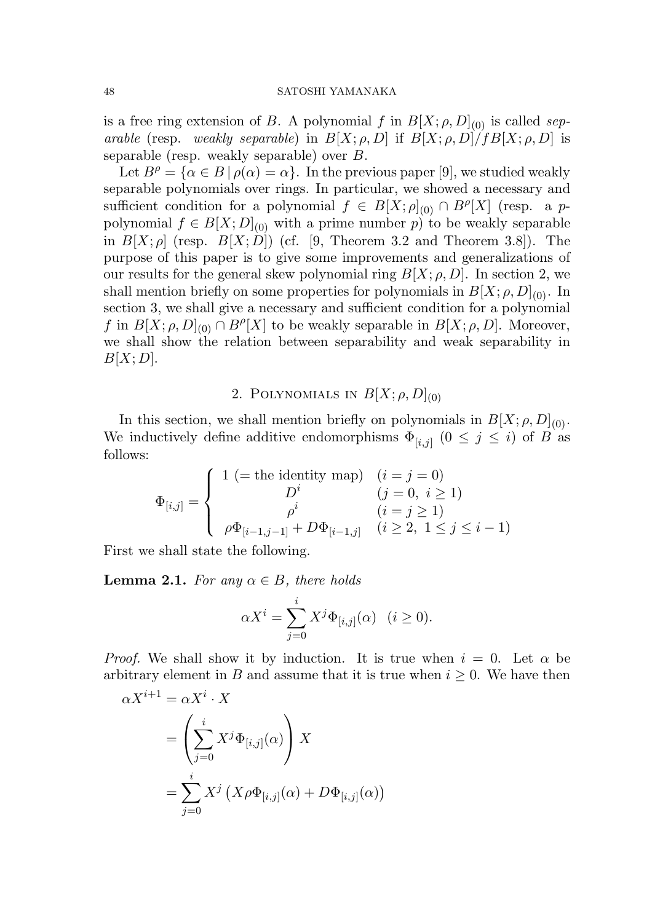### 48 SATOSHI YAMANAKA

is a free ring extension of B. A polynomial f in  $B[X; \rho, D]_{(0)}$  is called *separable* (resp. *weakly separable*) in  $B[X; \rho, D]$  if  $B[X; \rho, D]/fB[X; \rho, D]$  is separable (resp. weakly separable) over B.

Let  $B^{\rho} = {\alpha \in B \, | \, \rho(\alpha) = \alpha}$ . In the previous paper [9], we studied weakly separable polynomials over rings. In particular, we showed a necessary and sufficient condition for a polynomial  $f \in B[X; \rho]_{(0)} \cap B^{\rho}[X]$  (resp. a ppolynomial  $f \in B[X; D]_{(0)}$  with a prime number p) to be weakly separable in  $B[X; \rho]$  (resp.  $B[X; D]$ ) (cf. [9, Theorem 3.2 and Theorem 3.8]). The purpose of this paper is to give some improvements and generalizations of our results for the general skew polynomial ring  $B[X; \rho, D]$ . In section 2, we shall mention briefly on some properties for polynomials in  $B[X; \rho, D]_{(0)}$ . In section 3, we shall give a necessary and sufficient condition for a polynomial f in  $B[X; \rho, D]_{(0)} \cap B^{\rho}[X]$  to be weakly separable in  $B[X; \rho, D]$ . Moreover, we shall show the relation between separability and weak separability in  $B[X;D].$ 

# 2. POLYNOMIALS IN  $B[X; \rho, D]_{(0)}$

In this section, we shall mention briefly on polynomials in  $B[X; \rho, D]_{(0)}$ . We inductively define additive endomorphisms  $\Phi_{[i,j]}$   $(0 \leq j \leq i)$  of B as follows:

$$
\Phi_{[i,j]} = \begin{cases}\n1 \ (= \text{the identity map}) & (i = j = 0) \\
D^i & (j = 0, i \ge 1) \\
\rho^i & (i = j \ge 1) \\
\rho \Phi_{[i-1,j-1]} + D\Phi_{[i-1,j]} & (i \ge 2, 1 \le j \le i - 1)\n\end{cases}
$$

First we shall state the following.

**Lemma 2.1.** *For any*  $\alpha \in B$ *, there holds* 

$$
\alpha X^{i} = \sum_{j=0}^{i} X^{j} \Phi_{[i,j]}(\alpha) \quad (i \ge 0).
$$

*Proof.* We shall show it by induction. It is true when  $i = 0$ . Let  $\alpha$  be arbitrary element in B and assume that it is true when  $i \geq 0$ . We have then

$$
\alpha X^{i+1} = \alpha X^i \cdot X
$$
  
= 
$$
\left(\sum_{j=0}^i X^j \Phi_{[i,j]}(\alpha)\right) X
$$
  
= 
$$
\sum_{j=0}^i X^j \left(X \rho \Phi_{[i,j]}(\alpha) + D \Phi_{[i,j]}(\alpha)\right)
$$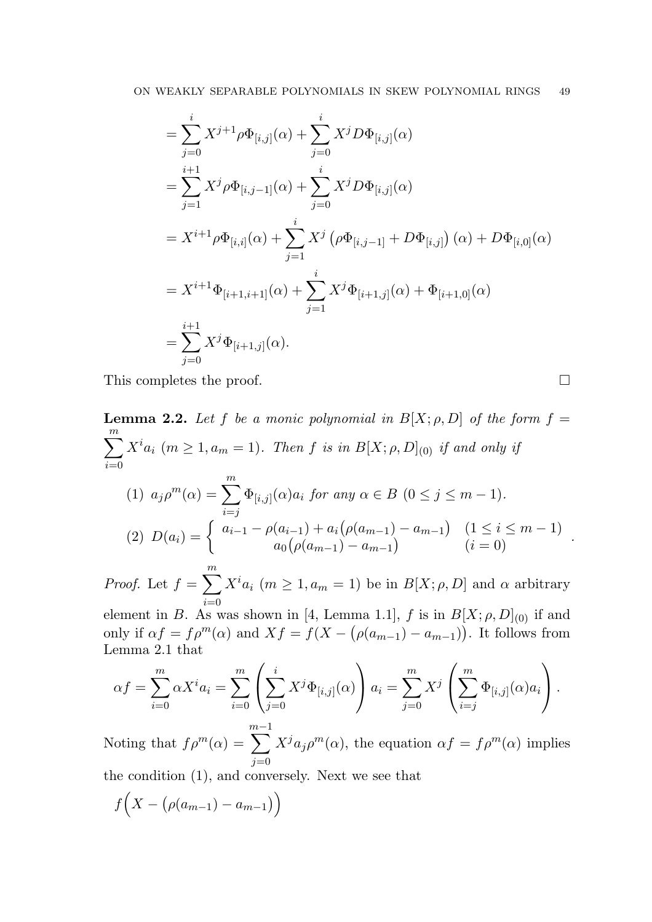$$
= \sum_{j=0}^{i} X^{j+1} \rho \Phi_{[i,j]}(\alpha) + \sum_{j=0}^{i} X^{j} D \Phi_{[i,j]}(\alpha)
$$
  
\n
$$
= \sum_{j=1}^{i+1} X^{j} \rho \Phi_{[i,j-1]}(\alpha) + \sum_{j=0}^{i} X^{j} D \Phi_{[i,j]}(\alpha)
$$
  
\n
$$
= X^{i+1} \rho \Phi_{[i,i]}(\alpha) + \sum_{j=1}^{i} X^{j} (\rho \Phi_{[i,j-1]} + D \Phi_{[i,j]})(\alpha) + D \Phi_{[i,0]}(\alpha)
$$
  
\n
$$
= X^{i+1} \Phi_{[i+1,i+1]}(\alpha) + \sum_{j=1}^{i} X^{j} \Phi_{[i+1,j]}(\alpha) + \Phi_{[i+1,0]}(\alpha)
$$
  
\n
$$
= \sum_{j=0}^{i+1} X^{j} \Phi_{[i+1,j]}(\alpha).
$$

This completes the proof.  $\Box$ 

**Lemma 2.2.** Let 
$$
f
$$
 be a monic polynomial in  $B[X; \rho, D]$  of the form  $f =$   
\n
$$
\sum_{i=0}^{m} X^i a_i \ (m \ge 1, a_m = 1).
$$
 Then  $f$  is in  $B[X; \rho, D]_{(0)}$  if and only if  
\n
$$
(1) \ a_j \rho^m(\alpha) = \sum_{i=j}^{m} \Phi_{[i,j]}(\alpha) a_i \text{ for any } \alpha \in B \ (0 \le j \le m - 1).
$$
\n
$$
(2) \ D(a_i) = \begin{cases} a_{i-1} - \rho(a_{i-1}) + a_i(\rho(a_{m-1}) - a_{m-1}) & (1 \le i \le m - 1) \\ a_0(\rho(a_{m-1}) - a_{m-1}) & (i = 0) \end{cases}.
$$
\n*Proof.* Let  $f = \sum_{i=0}^{m} X^i a_i \ (m \ge 1, a_m = 1)$  be in  $B[X; \rho, D]$  and  $\alpha$  arbitrary element in  $B$ . As was shown in [4, Lemma 1.1],  $f$  is in  $B[X; \rho, D]_{(0)}$  if and

element in B. As was shown in [4, Lemma 1.1], f is in  $B[X; \rho, D]_{(0)}$  if and only if  $\alpha f = f \rho^m(\alpha)$  and  $Xf = f(X - (\rho(a_{m-1}) - a_{m-1}))$ . It follows from Lemma 2.1 that

$$
\alpha f = \sum_{i=0}^{m} \alpha X^{i} a_{i} = \sum_{i=0}^{m} \left( \sum_{j=0}^{i} X^{j} \Phi_{[i,j]}(\alpha) \right) a_{i} = \sum_{j=0}^{m} X^{j} \left( \sum_{i=j}^{m} \Phi_{[i,j]}(\alpha) a_{i} \right).
$$

Noting that  $f \rho^m(\alpha) =$  $\sum_{ }^{m-1}$  $j=0$  $X^j a_j \rho^m(\alpha)$ , the equation  $\alpha f = f \rho^m(\alpha)$  implies the condition (1), and conversely. Next we see that

$$
f\Big(X-\big(\rho(a_{m-1})-a_{m-1}\big)\Big)
$$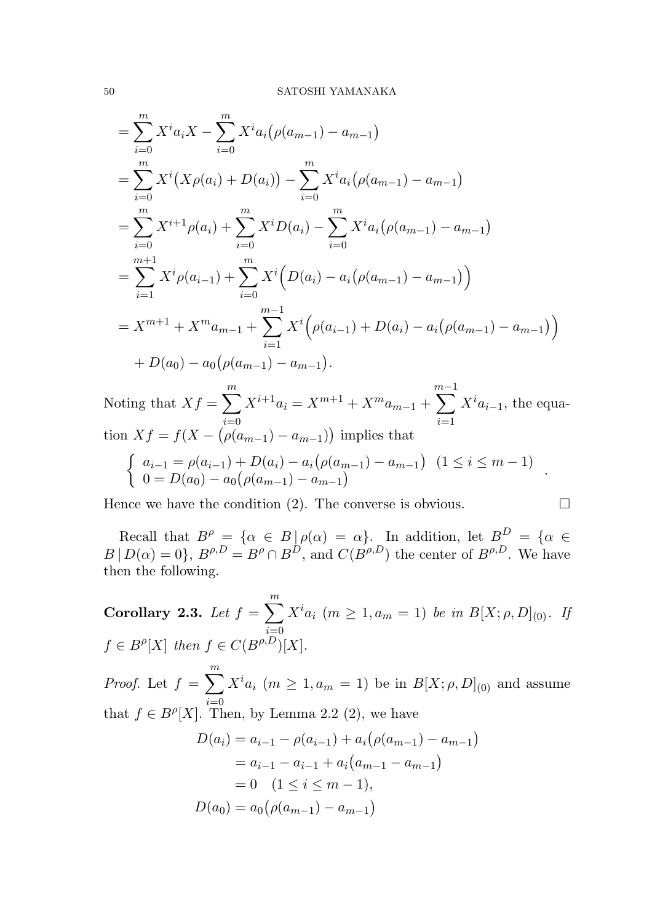$$
\begin{split}\n&= \sum_{i=0}^{m} X^i a_i X - \sum_{i=0}^{m} X^i a_i (\rho(a_{m-1}) - a_{m-1}) \\
&= \sum_{i=0}^{m} X^i (X \rho(a_i) + D(a_i)) - \sum_{i=0}^{m} X^i a_i (\rho(a_{m-1}) - a_{m-1}) \\
&= \sum_{i=0}^{m} X^{i+1} \rho(a_i) + \sum_{i=0}^{m} X^i D(a_i) - \sum_{i=0}^{m} X^i a_i (\rho(a_{m-1}) - a_{m-1}) \\
&= \sum_{i=1}^{m+1} X^i \rho(a_{i-1}) + \sum_{i=0}^{m} X^i (D(a_i) - a_i (\rho(a_{m-1}) - a_{m-1})) \\
&= X^{m+1} + X^m a_{m-1} + \sum_{i=1}^{m-1} X^i (\rho(a_{i-1}) + D(a_i) - a_i (\rho(a_{m-1}) - a_{m-1})) \\
&+ D(a_0) - a_0 (\rho(a_{m-1}) - a_{m-1}).\n\end{split}
$$

Noting that  $Xf = \sum_{n=1}^{m}$  $i=0$  $X^{i+1}a_i = X^{m+1} + X^m a_{m-1} +$  $\sum_{ }^{m-1}$  $\frac{i=1}{i}$  $X^i a_{i-1}$ , the equation  $Xf = f(X - (\rho(a_{m-1}) - a_{m-1}))$  implies that  $\int a_{i-1} = \rho(a_{i-1}) + D(a_i) - a_i(\rho(a_{m-1}) - a_{m-1}) \quad (1 \leq i \leq m-1)$  $a_0 = D(a_0) - a_0 (\rho(a_{m-1}) - a_{m-1})$   $a_m = D(a_0) - a_0 (\rho(a_{m-1}) - a_{m-1})$ 

Hence we have the condition (2). The converse is obvious.  $\square$ 

Recall that  $B^{\rho} = {\alpha \in B \mid \rho(\alpha) = \alpha}$ . In addition, let  $B^{D} = {\alpha \in A}$  $B | D(\alpha) = 0$ ,  $B^{\rho, D} = B^{\rho} \cap B^{D}$ , and  $C(B^{\rho, D})$  the center of  $B^{\rho, D}$ . We have then the following.

**Corollary 2.3.** Let  $f = \sum_{n=1}^{m}$  $\dot{i}=0$  $X^i a_i$  ( $m \geq 1, a_m = 1$ ) *be in*  $B[X; \rho, D]_{(0)}$ *. If*  $f \in B^{\rho}[X]$  then  $f \in C(B^{\rho,D})[X]$ .

*Proof.* Let  $f = \sum_{n=1}^{m}$  $\dot{i}=0$  $X^i a_i$  ( $m \geq 1, a_m = 1$ ) be in  $B[X; \rho, D]_{(0)}$  and assume that  $f \in B^{\rho}[X]$ . Then, by Lemma 2.2 (2), we have

$$
D(a_i) = a_{i-1} - \rho(a_{i-1}) + a_i(\rho(a_{m-1}) - a_{m-1})
$$
  
=  $a_{i-1} - a_{i-1} + a_i(a_{m-1} - a_{m-1})$   
= 0 (1 \le i \le m - 1),  

$$
D(a_0) = a_0(\rho(a_{m-1}) - a_{m-1})
$$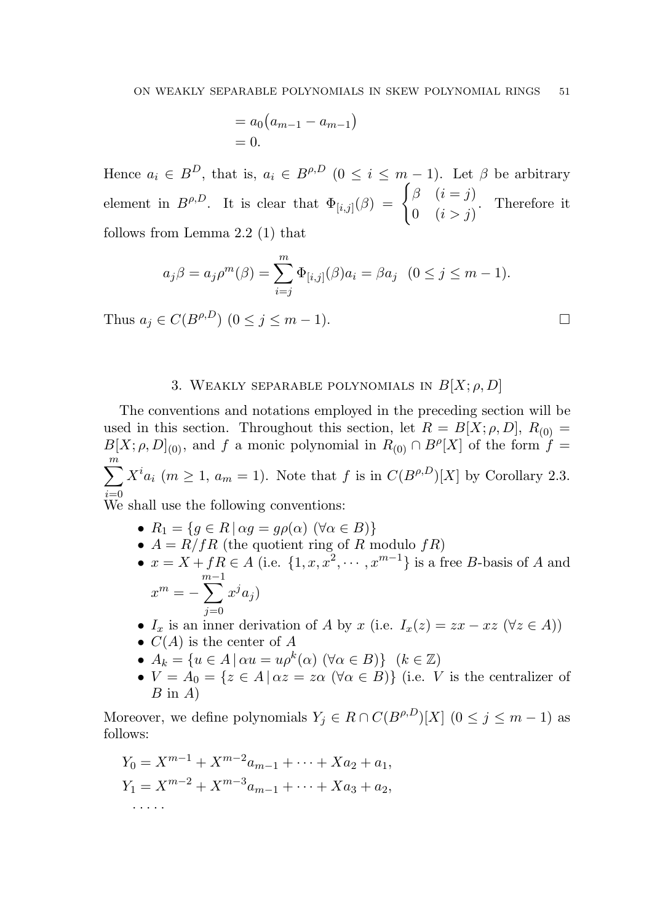$$
= a_0 (a_{m-1} - a_{m-1})
$$
  
= 0.

Hence  $a_i \in B^D$ , that is,  $a_i \in B^{\rho,D}$   $(0 \le i \le m-1)$ . Let  $\beta$  be arbitrary element in  $B^{\rho,D}$ . It is clear that  $\Phi_{[i,j]}(\beta) = \begin{cases} \beta & (i = j) \\ 0 & (i > j) \end{cases}$ 0  $(i > j)$ . Therefore it follows from Lemma 2.2 (1) that

$$
a_j \beta = a_j \rho^m(\beta) = \sum_{i=j}^m \Phi_{[i,j]}(\beta) a_i = \beta a_j \quad (0 \le j \le m-1).
$$

Thus  $a_j \in C(B^{\rho,D})$   $(0 \le j \le m-1)$ .

# 3. WEAKLY SEPARABLE POLYNOMIALS IN  $B[X; \rho, D]$

The conventions and notations employed in the preceding section will be used in this section. Throughout this section, let  $R = B[X; \rho, D], R_{(0)} =$  $B[X; \rho, D]_{(0)}$ , and f a monic polynomial in  $R_{(0)} \cap B^{\rho}[X]$  of the form  $f =$  $\sum_{i=1}^{m} X^{i} a_{i} \ (m \geq 1, a_{m} = 1).$  Note that f is in  $C(B^{\rho,D})[X]$  by Corollary 2.3.  $\dot{i}=0$ 

We shall use the following conventions:

- $R_1 = \{ g \in R \mid \alpha g = g \rho(\alpha) \; (\forall \alpha \in B) \}$
- $A = R/fR$  (the quotient ring of R modulo  $fR$ )
- $x = X + fR \in A$  (i.e.  $\{1, x, x^2, \dots, x^{m-1}\}$  is a free B-basis of A and  $x^m = \sum_{n=1}^{\infty}$  $j=0$  $x^ja_j)$
- $I_x$  is an inner derivation of A by x (i.e.  $I_x(z) = zx xz$  ( $\forall z \in A$ ))
- $C(A)$  is the center of A
- $A_k = \{u \in A \mid \alpha u = u \rho^k(\alpha) \; (\forall \alpha \in B) \} \; (k \in \mathbb{Z})$
- $V = A_0 = \{z \in A \mid \alpha z = z\alpha \ (\forall \alpha \in B)\}\$  (i.e. V is the centralizer of  $B$  in  $A$ )

Moreover, we define polynomials  $Y_j \in R \cap C(B^{\rho,D})[X]$   $(0 \le j \le m-1)$  as follows:

$$
Y_0 = X^{m-1} + X^{m-2}a_{m-1} + \dots + Xa_2 + a_1,
$$
  
\n
$$
Y_1 = X^{m-2} + X^{m-3}a_{m-1} + \dots + Xa_3 + a_2,
$$
  
\n...

$$
\qquad \qquad \Box
$$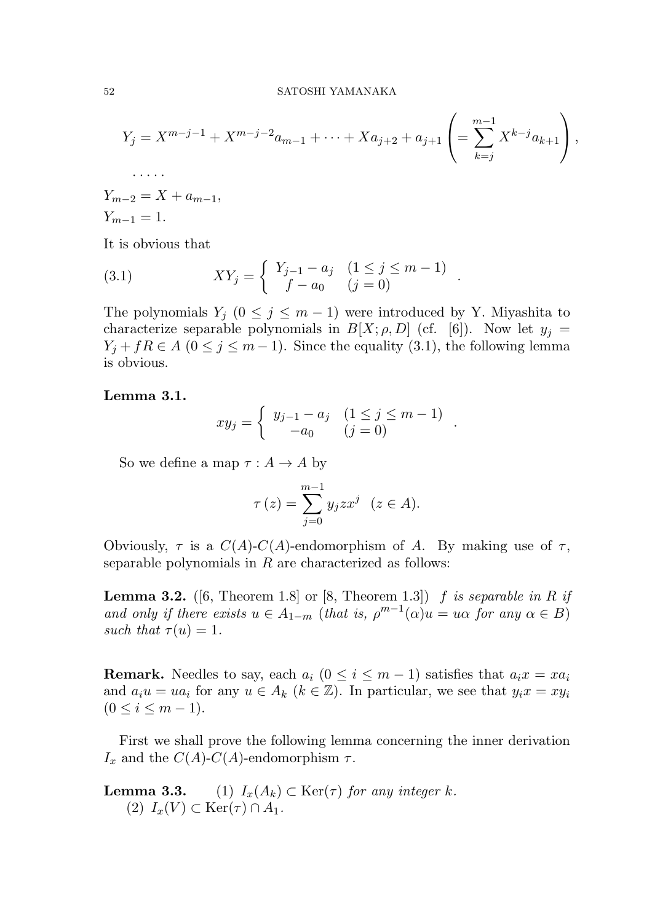$$
Y_j = X^{m-j-1} + X^{m-j-2}a_{m-1} + \dots + Xa_{j+2} + a_{j+1} \left( = \sum_{k=j}^{m-1} X^{k-j}a_{k+1} \right),
$$
  
......  

$$
B_{n-2} = X + a_{m-1},
$$

 $Y_{m-2} = X + a_{m-1},$  $Y_{m-1} = 1.$ 

It is obvious that

(3.1) 
$$
XY_j = \begin{cases} Y_{j-1} - a_j & (1 \le j \le m-1) \\ f - a_0 & (j = 0) \end{cases}.
$$

The polynomials  $Y_j$  ( $0 \le j \le m-1$ ) were introduced by Y. Miyashita to characterize separable polynomials in  $B[X; \rho, D]$  (cf. [6]). Now let  $y_i =$  $Y_i + fR \in A$  ( $0 \leq j \leq m-1$ ). Since the equality (3.1), the following lemma is obvious.

## Lemma 3.1.

$$
xy_j = \begin{cases} y_{j-1} - a_j & (1 \le j \le m-1) \\ -a_0 & (j = 0) \end{cases}.
$$

So we define a map  $\tau : A \to A$  by

$$
\tau(z) = \sum_{j=0}^{m-1} y_j z x^j \quad (z \in A).
$$

Obviously,  $\tau$  is a  $C(A)$ - $C(A)$ -endomorphism of A. By making use of  $\tau$ , separable polynomials in  $R$  are characterized as follows:

**Lemma 3.2.** ([6, Theorem 1.8] or [8, Theorem 1.3])  $f$  is separable in R if and only if there exists  $u \in A_{1-m}$  (that is,  $\rho^{m-1}(\alpha)u = u\alpha$  for any  $\alpha \in B$ ) *such that*  $\tau(u) = 1$ .

**Remark.** Needles to say, each  $a_i$  ( $0 \le i \le m-1$ ) satisfies that  $a_i x = x a_i$ and  $a_i u = u a_i$  for any  $u \in A_k$   $(k \in \mathbb{Z})$ . In particular, we see that  $y_i x = x y_i$  $(0 \le i \le m-1).$ 

First we shall prove the following lemma concerning the inner derivation  $I_x$  and the  $C(A)$ - $C(A)$ -endomorphism  $\tau$ .

**Lemma 3.3.** (1)  $I_x(A_k) \subset \text{Ker}(\tau)$  *for any integer* k. (2)  $I_x(V) \subset \text{Ker}(\tau) \cap A_1$ .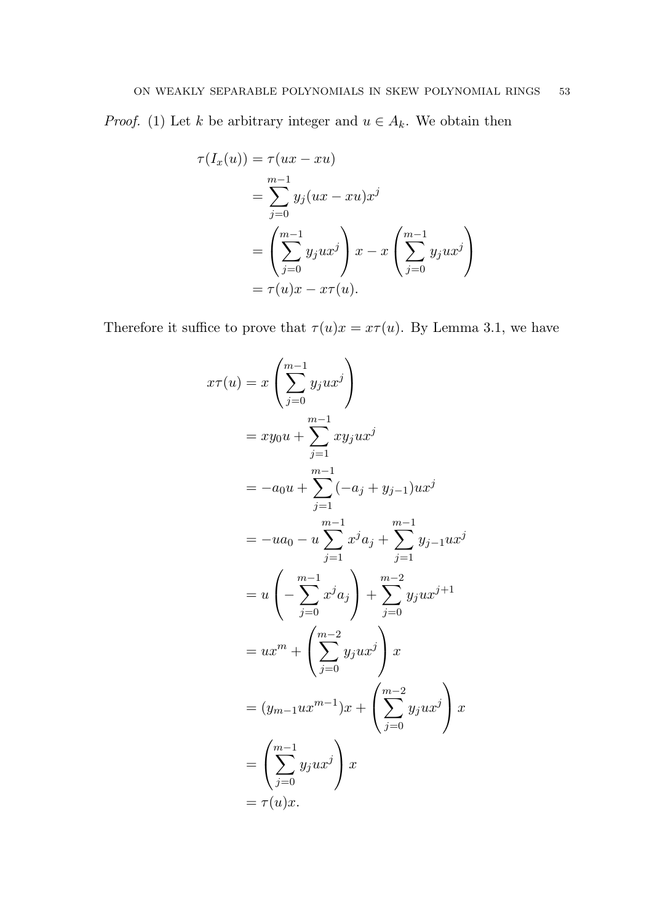*Proof.* (1) Let k be arbitrary integer and  $u \in A_k$ . We obtain then

$$
\tau(I_x(u)) = \tau(ux - xu)
$$
  
= 
$$
\sum_{j=0}^{m-1} y_j(ux - xu)x^j
$$
  
= 
$$
\left(\sum_{j=0}^{m-1} y_jux^j\right)x - x\left(\sum_{j=0}^{m-1} y_jux^j\right)
$$
  
= 
$$
\tau(u)x - x\tau(u).
$$

Therefore it suffice to prove that  $\tau(u)x = x\tau(u)$ . By Lemma 3.1, we have

$$
x\tau(u) = x \left( \sum_{j=0}^{m-1} y_j u x^j \right)
$$
  
=  $xy_0 u + \sum_{j=1}^{m-1} xy_j u x^j$   
=  $-a_0 u + \sum_{j=1}^{m-1} (-a_j + y_{j-1}) u x^j$   
=  $-ua_0 - u \sum_{j=1}^{m-1} x^j a_j + \sum_{j=1}^{m-1} y_{j-1} u x^j$   
=  $u \left( - \sum_{j=0}^{m-1} x^j a_j \right) + \sum_{j=0}^{m-2} y_j u x^{j+1}$   
=  $ux^m + \left( \sum_{j=0}^{m-2} y_j u x^j \right) x$   
=  $(y_{m-1} ux^{m-1})x + \left( \sum_{j=0}^{m-2} y_j u x^j \right) x$   
=  $\left( \sum_{j=0}^{m-1} y_j u x^j \right) x$   
=  $\tau(u)x$ .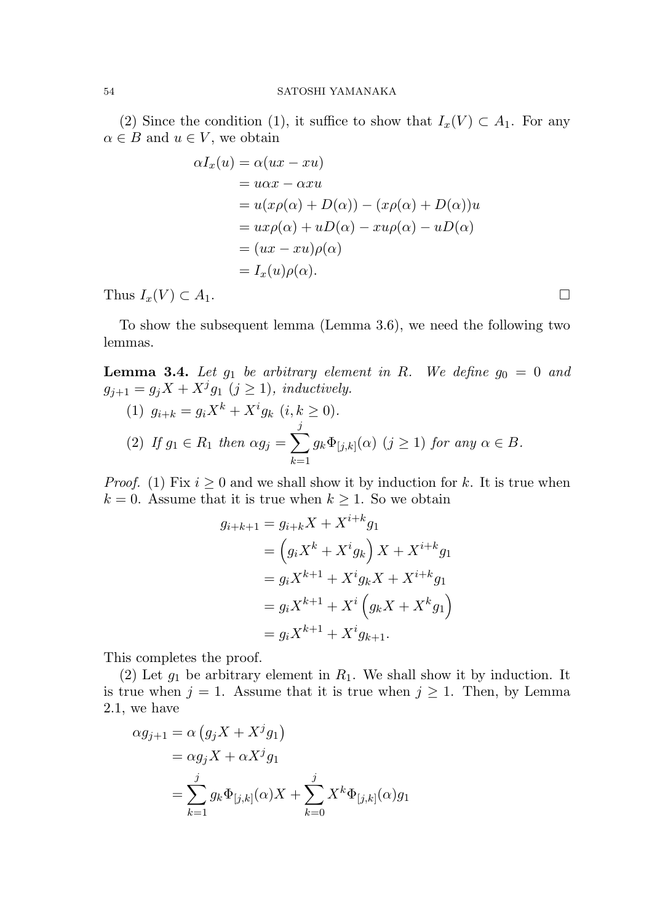#### 54 SATOSHI YAMANAKA

(2) Since the condition (1), it suffice to show that  $I_x(V) \subset A_1$ . For any  $\alpha \in B$  and  $u \in V$ , we obtain

$$
\alpha I_x(u) = \alpha(ux - xu)
$$
  
=  $u\alpha x - \alpha xu$   
=  $u(x\rho(\alpha) + D(\alpha)) - (x\rho(\alpha) + D(\alpha))u$   
=  $ux\rho(\alpha) + uD(\alpha) - xu\rho(\alpha) - uD(\alpha)$   
=  $(ux - xu)\rho(\alpha)$   
=  $I_x(u)\rho(\alpha)$ .

Thus  $I_x(V) \subset A_1$ .

To show the subsequent lemma (Lemma 3.6), we need the following two lemmas.

**Lemma 3.4.** Let  $g_1$  be arbitrary element in R. We define  $g_0 = 0$  and  $g_{j+1} = g_j X + X^j g_1 \ (j \geq 1)$ , inductively.

\n- (1) 
$$
g_{i+k} = g_i X^k + X^i g_k \ (i, k \ge 0).
$$
\n- (2) If  $g_1 \in R_1$  then  $\alpha g_j = \sum_{k=1}^j g_k \Phi_{[j,k]}(\alpha) \ (j \ge 1)$  for any  $\alpha \in B$ .
\n

*Proof.* (1) Fix  $i \geq 0$  and we shall show it by induction for k. It is true when  $k = 0$ . Assume that it is true when  $k \geq 1$ . So we obtain

$$
g_{i+k+1} = g_{i+k}X + X^{i+k}g_1
$$
  
=  $(g_iX^k + X^ig_k) X + X^{i+k}g_1$   
=  $g_iX^{k+1} + X^ig_kX + X^{i+k}g_1$   
=  $g_iX^{k+1} + X^i(g_kX + X^kg_1)$   
=  $g_iX^{k+1} + X^ig_{k+1}$ .

This completes the proof.

(2) Let  $g_1$  be arbitrary element in  $R_1$ . We shall show it by induction. It is true when  $j = 1$ . Assume that it is true when  $j \ge 1$ . Then, by Lemma 2.1, we have

$$
\alpha g_{j+1} = \alpha (g_j X + X^j g_1)
$$
  
=  $\alpha g_j X + \alpha X^j g_1$   
=  $\sum_{k=1}^j g_k \Phi_{[j,k]}(\alpha) X + \sum_{k=0}^j X^k \Phi_{[j,k]}(\alpha) g_1$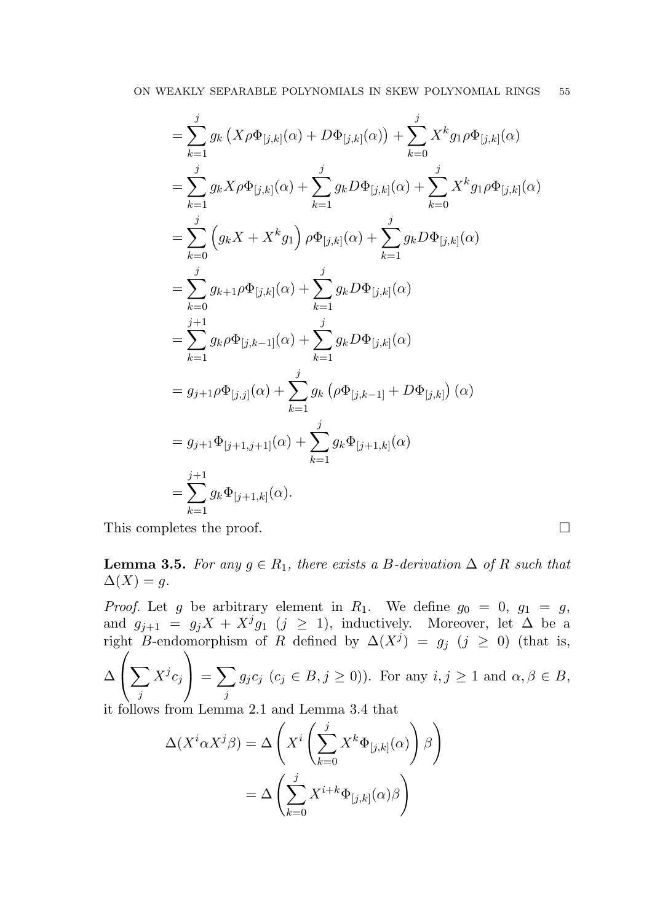$$
\begin{split}\n&= \sum_{k=1}^{j} g_k \left( X \rho \Phi_{[j,k]}(\alpha) + D \Phi_{[j,k]}(\alpha) \right) + \sum_{k=0}^{j} X^k g_{1} \rho \Phi_{[j,k]}(\alpha) \\
&= \sum_{k=1}^{j} g_k X \rho \Phi_{[j,k]}(\alpha) + \sum_{k=1}^{j} g_k D \Phi_{[j,k]}(\alpha) + \sum_{k=0}^{j} X^k g_{1} \rho \Phi_{[j,k]}(\alpha) \\
&= \sum_{k=0}^{j} \left( g_k X + X^k g_1 \right) \rho \Phi_{[j,k]}(\alpha) + \sum_{k=1}^{j} g_k D \Phi_{[j,k]}(\alpha) \\
&= \sum_{k=0}^{j} g_{k+1} \rho \Phi_{[j,k]}(\alpha) + \sum_{k=1}^{j} g_k D \Phi_{[j,k]}(\alpha) \\
&= \sum_{k=1}^{j+1} g_k \rho \Phi_{[j,k-1]}(\alpha) + \sum_{k=1}^{j} g_k D \Phi_{[j,k]}(\alpha) \\
&= g_{j+1} \rho \Phi_{[j,j]}(\alpha) + \sum_{k=1}^{j} g_k \left( \rho \Phi_{[j,k-1]} + D \Phi_{[j,k]} \right) (\alpha) \\
&= g_{j+1} \Phi_{[j+1,j+1]}(\alpha) + \sum_{k=1}^{j} g_k \Phi_{[j+1,k]}(\alpha) \\
&= \sum_{k=1}^{j+1} g_k \Phi_{[j+1,k]}(\alpha).\n\end{split}
$$

This completes the proof.

**Lemma 3.5.** *For any*  $g \in R_1$ *, there exists a B-derivation* ∆ *of* R *such that*  $\Delta(X) = q.$ 

*Proof.* Let g be arbitrary element in  $R_1$ . We define  $g_0 = 0$ ,  $g_1 = g$ , and  $g_{j+1} = g_j X + X^j g_1$  ( $j \ge 1$ ), inductively. Moreover, let  $\Delta$  be a right B-endomorphism of R defined by  $\Delta(X^j) = g_j$  (j ≥ 0) (that is,  $\sqrt{2}$ 

$$
\Delta\left(\sum_{j} X^{j} c_{j}\right) = \sum_{j} g_{j} c_{j} \ (c_{j} \in B, j \ge 0)).
$$
 For any  $i, j \ge 1$  and  $\alpha, \beta \in B$ ,

it follows from Lemma 2.1 and Lemma 3.4 that

$$
\Delta(X^i \alpha X^j \beta) = \Delta \left( X^i \left( \sum_{k=0}^j X^k \Phi_{[j,k]}(\alpha) \right) \beta \right)
$$

$$
= \Delta \left( \sum_{k=0}^j X^{i+k} \Phi_{[j,k]}(\alpha) \beta \right)
$$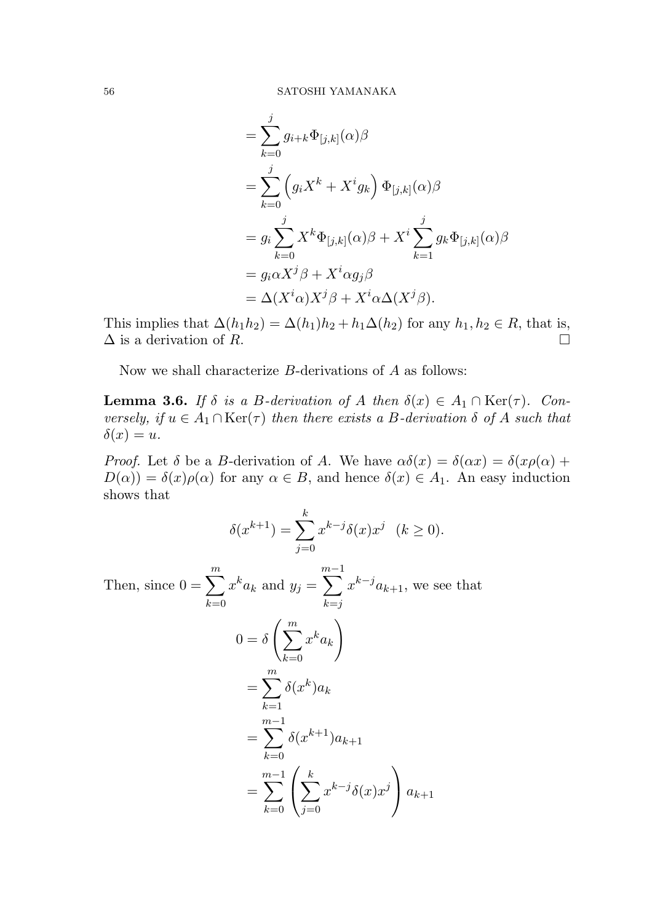$$
\begin{split}\n&= \sum_{k=0}^{j} g_{i+k} \Phi_{[j,k]}(\alpha) \beta \\
&= \sum_{k=0}^{j} \left( g_i X^k + X^i g_k \right) \Phi_{[j,k]}(\alpha) \beta \\
&= g_i \sum_{k=0}^{j} X^k \Phi_{[j,k]}(\alpha) \beta + X^i \sum_{k=1}^{j} g_k \Phi_{[j,k]}(\alpha) \beta \\
&= g_i \alpha X^j \beta + X^i \alpha g_j \beta \\
&= \Delta (X^i \alpha) X^j \beta + X^i \alpha \Delta (X^j \beta).\n\end{split}
$$

This implies that  $\Delta(h_1h_2) = \Delta(h_1)h_2 + h_1\Delta(h_2)$  for any  $h_1, h_2 \in R$ , that is,  $\Delta$  is a derivation of R.

Now we shall characterize B-derivations of A as follows:

**Lemma 3.6.** *If*  $\delta$  *is a B-derivation of* A *then*  $\delta(x) \in A_1 \cap \text{Ker}(\tau)$ *. Con* $versely, if  $u \in A_1 \cap \text{Ker}(\tau)$  then there exists a B-derivation  $\delta$  of A such that$  $\delta(x) = u.$ 

*Proof.* Let  $\delta$  be a B-derivation of A. We have  $\alpha\delta(x) = \delta(\alpha x) = \delta(x\rho(\alpha) +$  $D(\alpha) = \delta(x)\rho(\alpha)$  for any  $\alpha \in B$ , and hence  $\delta(x) \in A_1$ . An easy induction shows that

$$
\delta(x^{k+1}) = \sum_{j=0}^{k} x^{k-j} \delta(x) x^j \quad (k \ge 0).
$$

Then, since  $0 = \sum_{n=1}^{m}$  $_{k=0}$  $x^k a_k$  and  $y_j =$  $\sum_{ }^{m-1}$  $k = j$  $x^{k-j}a_{k+1}$ , we see that  $0 = \delta \left( \sum_{i=1}^{m} \right)$  $_{k=0}$  $x^ka_k$  $\setminus$  $=\sum_{n=1}^{m}$  $k=1$  $\delta(x^k) a_k$ =  $\sum_{ }^{m-1}$  $_{k=0}$  $\delta(x^{k+1})a_{k+1}$ =  $\sum_{ }^{m-1}$  $_{k=0}$  $\sqrt{ }$  $\mathcal{L}$  $\sum$ k  $j=0$  $x^{k-j}\delta(x)x^j$  $\setminus$  $a_{k+1}$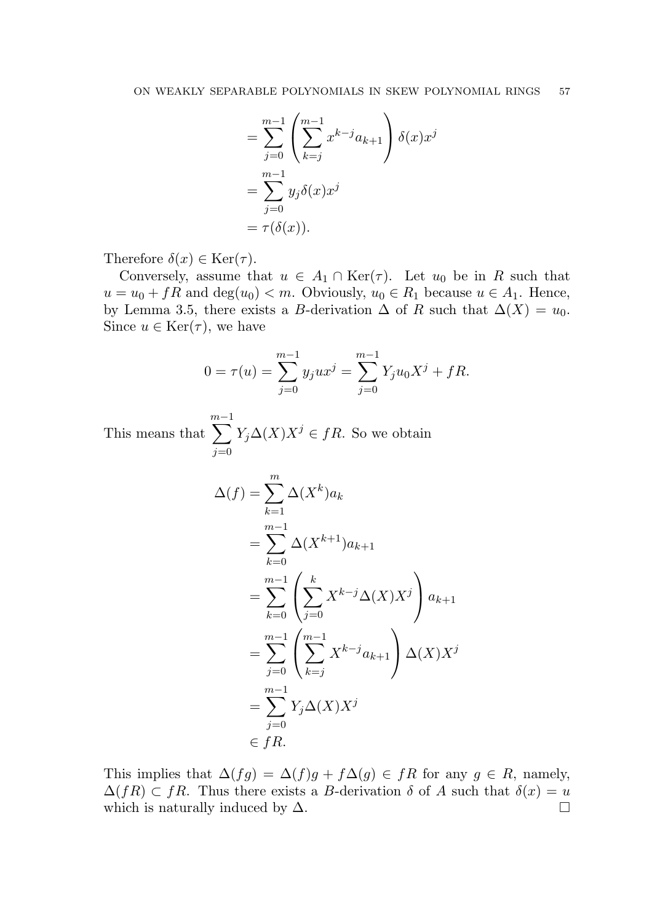$$
= \sum_{j=0}^{m-1} \left( \sum_{k=j}^{m-1} x^{k-j} a_{k+1} \right) \delta(x) x^j
$$
  
= 
$$
\sum_{j=0}^{m-1} y_j \delta(x) x^j
$$
  
= 
$$
\tau(\delta(x)).
$$

Therefore  $\delta(x) \in \text{Ker}(\tau)$ .

Conversely, assume that  $u \in A_1 \cap \text{Ker}(\tau)$ . Let  $u_0$  be in R such that  $u = u_0 + fR$  and  $deg(u_0) < m$ . Obviously,  $u_0 \in R_1$  because  $u \in A_1$ . Hence, by Lemma 3.5, there exists a B-derivation  $\Delta$  of R such that  $\Delta(X) = u_0$ . Since  $u \in \text{Ker}(\tau)$ , we have

$$
0 = \tau(u) = \sum_{j=0}^{m-1} y_j u x^j = \sum_{j=0}^{m-1} Y_j u_0 X^j + fR.
$$

This means that  $\sum_{ }^{m-1}$  $j=0$  $Y_j \Delta(X) X^j \in fR$ . So we obtain

$$
\Delta(f) = \sum_{k=1}^{m} \Delta(X^k) a_k
$$
  
= 
$$
\sum_{k=0}^{m-1} \Delta(X^{k+1}) a_{k+1}
$$
  
= 
$$
\sum_{k=0}^{m-1} \left( \sum_{j=0}^{k} X^{k-j} \Delta(X) X^j \right) a_{k+1}
$$
  
= 
$$
\sum_{j=0}^{m-1} \left( \sum_{k=j}^{m-1} X^{k-j} a_{k+1} \right) \Delta(X) X^j
$$
  
= 
$$
\sum_{j=0}^{m-1} Y_j \Delta(X) X^j
$$
  

$$
\in fR.
$$

This implies that  $\Delta(fg) = \Delta(f)g + f\Delta(g) \in fR$  for any  $g \in R$ , namely,  $\Delta(fR) \subset fR$ . Thus there exists a B-derivation  $\delta$  of A such that  $\delta(x) = u$ which is naturally induced by  $\Delta$ .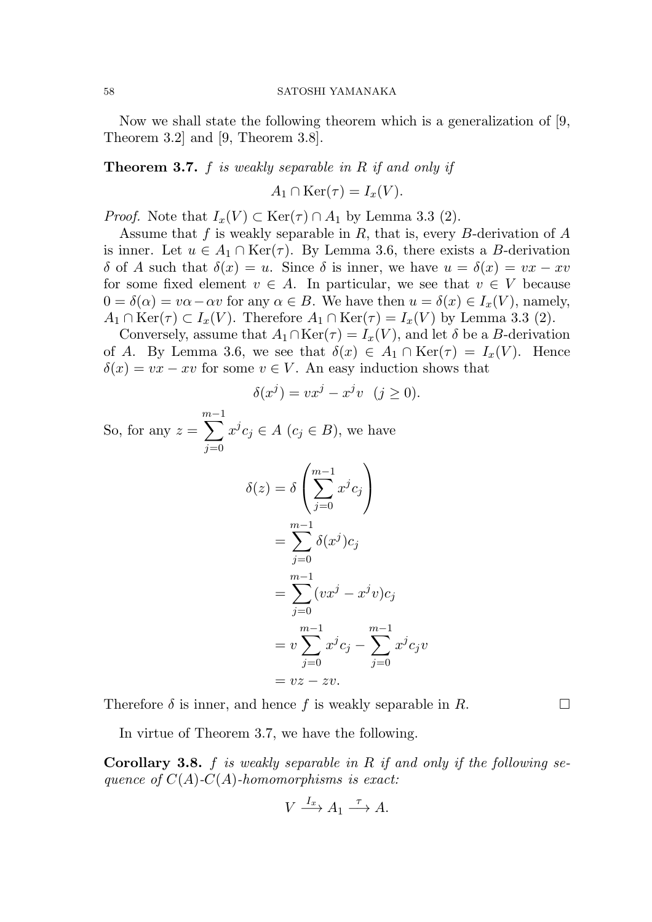Now we shall state the following theorem which is a generalization of [9, Theorem 3.2] and [9, Theorem 3.8].

Theorem 3.7. f *is weakly separable in* R *if and only if*

$$
A_1 \cap \text{Ker}(\tau) = I_x(V).
$$

*Proof.* Note that  $I_x(V) \subset \text{Ker}(\tau) \cap A_1$  by Lemma 3.3 (2).

Assume that f is weakly separable in R, that is, every B-derivation of  $A$ is inner. Let  $u \in A_1 \cap \text{Ker}(\tau)$ . By Lemma 3.6, there exists a B-derivation δ of A such that  $\delta(x) = u$ . Since δ is inner, we have  $u = \delta(x) = vx - xv$ for some fixed element  $v \in A$ . In particular, we see that  $v \in V$  because  $0 = \delta(\alpha) = v\alpha - \alpha v$  for any  $\alpha \in B$ . We have then  $u = \delta(x) \in I_x(V)$ , namely,  $A_1 \cap \text{Ker}(\tau) \subset I_x(V)$ . Therefore  $A_1 \cap \text{Ker}(\tau) = I_x(V)$  by Lemma 3.3 (2).

Conversely, assume that  $A_1 \cap \text{Ker}(\tau) = I_x(V)$ , and let  $\delta$  be a B-derivation of A. By Lemma 3.6, we see that  $\delta(x) \in A_1 \cap \text{Ker}(\tau) = I_x(V)$ . Hence  $\delta(x) = vx - xv$  for some  $v \in V$ . An easy induction shows that

$$
\delta(x^j) = vx^j - x^jv \quad (j \ge 0).
$$

So, for any  $z =$  $\sum_{ }^{m-1}$  $j=0$  $x^j c_j \in A$   $(c_j \in B)$ , we have

$$
\delta(z) = \delta \left( \sum_{j=0}^{m-1} x^j c_j \right)
$$

$$
= \sum_{j=0}^{m-1} \delta(x^j) c_j
$$

$$
= \sum_{j=0}^{m-1} (vx^j - x^j v) c_j
$$

$$
= v \sum_{j=0}^{m-1} x^j c_j - \sum_{j=0}^{m-1} x^j c_j v
$$

$$
= vz - zv.
$$

Therefore  $\delta$  is inner, and hence f is weakly separable in R.

In virtue of Theorem 3.7, we have the following.

Corollary 3.8. f *is weakly separable in* R *if and only if the following sequence of* C(A)*-*C(A)*-homomorphisms is exact:*

$$
V \xrightarrow{I_x} A_1 \xrightarrow{\tau} A.
$$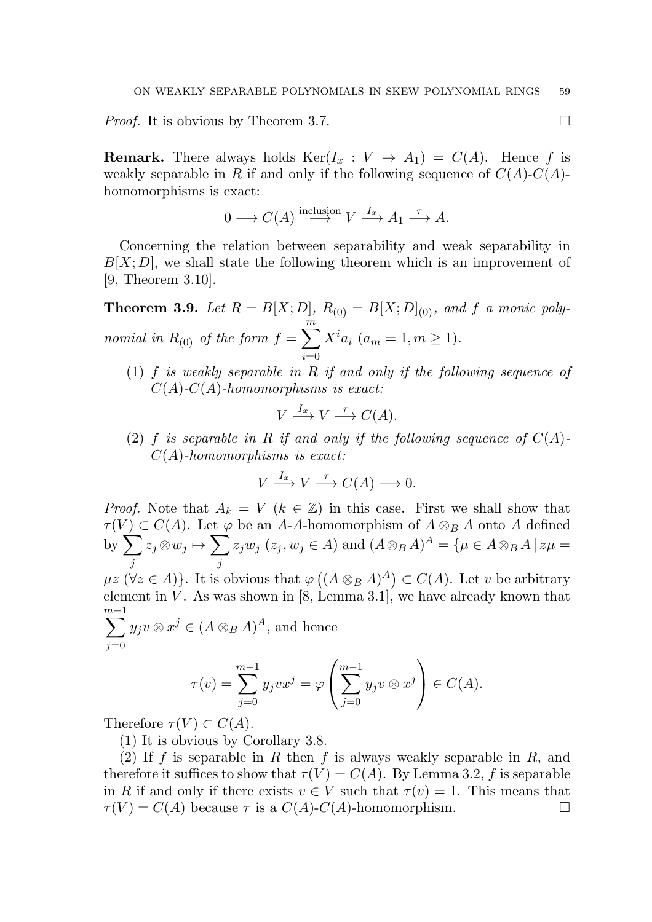*Proof.* It is obvious by Theorem 3.7. □

**Remark.** There always holds  $\text{Ker}(I_x : V \to A_1) = C(A)$ . Hence f is weakly separable in R if and only if the following sequence of  $C(A)$ - $C(A)$ homomorphisms is exact:

$$
0 \longrightarrow C(A) \stackrel{\text{inclusion}}{\longrightarrow} V \stackrel{I_x}{\longrightarrow} A_1 \stackrel{\tau}{\longrightarrow} A.
$$

Concerning the relation between separability and weak separability in  $B[X; D]$ , we shall state the following theorem which is an improvement of [9, Theorem 3.10].

**Theorem 3.9.** Let  $R = B[X; D]$ ,  $R_{(0)} = B[X; D]_{(0)}$ , and f a monic poly*nomial in*  $R_{(0)}$  *of the form*  $f = \sum^{m}$  $\dot{i}=0$  $X^i a_i$  ( $a_m = 1, m \ge 1$ ).

(1) f *is weakly separable in* R *if and only if the following sequence of* C(A)*-*C(A)*-homomorphisms is exact:*

$$
V \xrightarrow{I_x} V \xrightarrow{\tau} C(A).
$$

(2) f *is separable in* R *if and only if the following sequence of*  $C(A)$ -C(A)*-homomorphisms is exact:*

$$
V \xrightarrow{I_x} V \xrightarrow{\tau} C(A) \longrightarrow 0.
$$

*Proof.* Note that  $A_k = V$  ( $k \in \mathbb{Z}$ ) in this case. First we shall show that  $\tau(V) \subset C(A)$ . Let  $\varphi$  be an A-A-homomorphism of  $A \otimes_B A$  onto A defined by  $\sum$ j  $z_j{\mathord{\,\otimes }\,} w_j{\mathord{\;\mapsto\;}} \sum$ j  $z_jw_j$   $(z_j,w_j\in A)$  and  $(A\otimes_B A)^A = \{\mu\in A\otimes_B A\,|\,z\mu =$ 

 $\mu z \ (\forall z \in A) \}.$  It is obvious that  $\varphi ((A \otimes_B A)^A) \subset C(A)$ . Let v be arbitrary element in  $V$ . As was shown in [8, Lemma 3.1], we have already known that  $\sum_{ }^{m-1}$ nce

$$
\sum_{j=0} y_j v \otimes x^j \in (A \otimes_B A)^A
$$
, and he

$$
\tau(v) = \sum_{j=0}^{m-1} y_j v x^j = \varphi\left(\sum_{j=0}^{m-1} y_j v \otimes x^j\right) \in C(A).
$$

Therefore  $\tau(V) \subset C(A)$ .

(1) It is obvious by Corollary 3.8.

(2) If f is separable in R then f is always weakly separable in R, and therefore it suffices to show that  $\tau(V) = C(A)$ . By Lemma 3.2, f is separable in R if and only if there exists  $v \in V$  such that  $\tau(v) = 1$ . This means that  $\tau(V) = C(A)$  because  $\tau$  is a  $C(A)$ - $C(A)$ -homomorphism.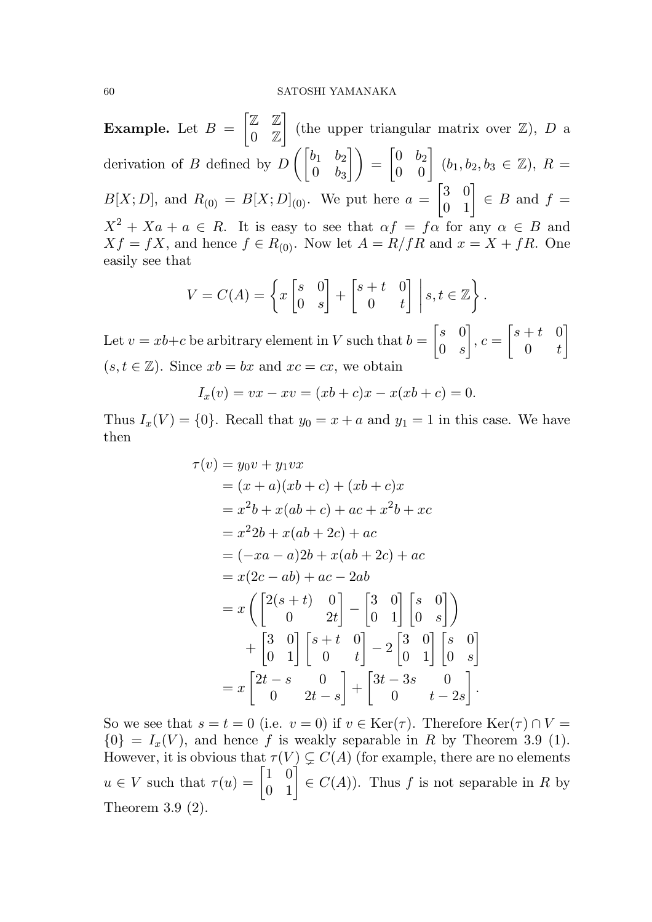#### 60 SATOSHI YAMANAKA

**Example.** Let  $B =$  $\begin{bmatrix} \mathbb{Z} & \mathbb{Z} \end{bmatrix}$  $0 \t\mathbb{Z}$ 1 (the upper triangular matrix over  $\mathbb{Z}$ ), D a derivation of B defined by  $D\left(\begin{bmatrix} b_1 & b_2 \\ 0 & b_1 \end{bmatrix}\right)$  $0 \quad b_3$  $\begin{bmatrix} 0 & b_2 \ 0 & 0 \end{bmatrix}$   $(b_1, b_2, b_3 \in \mathbb{Z}), R =$  $B[X; D]$ , and  $R_{(0)} = B[X; D]_{(0)}$ . We put here  $a =$  $\begin{bmatrix} 3 & 0 \\ 0 & 1 \end{bmatrix} \in B$  and  $f =$  $X^2 + Xa + a \in R$ . It is easy to see that  $\alpha f = f\alpha$  for any  $\alpha \in B$  and  $Xf = fX$ , and hence  $f \in R_{(0)}$ . Now let  $A = R/fR$  and  $x = X + fR$ . One easily see that

$$
V = C(A) = \left\{ x \begin{bmatrix} s & 0 \\ 0 & s \end{bmatrix} + \begin{bmatrix} s+t & 0 \\ 0 & t \end{bmatrix} \middle| s, t \in \mathbb{Z} \right\}.
$$

Let  $v = xb+c$  be arbitrary element in V such that  $b =$  $\begin{bmatrix} s & 0 \end{bmatrix}$  $0 \quad s$ 1  $, c =$  $\begin{bmatrix} s+t & 0 \end{bmatrix}$  $0 \quad t$ 1  $(s, t \in \mathbb{Z})$ . Since  $xb = bx$  and  $xc = cx$ , we obtain

$$
I_x(v) = vx - xv = (xb + c)x - x(xb + c) = 0.
$$

Thus  $I_x(V) = \{0\}$ . Recall that  $y_0 = x + a$  and  $y_1 = 1$  in this case. We have then

$$
\tau(v) = y_0 v + y_1 v x
$$
  
=  $(x + a)(xb + c) + (xb + c)x$   
=  $x^2b + x(ab + c) + ac + x^2b + xc$   
=  $x^22b + x(ab + 2c) + ac$   
=  $(-xa - a)2b + x(ab + 2c) + ac$   
=  $x(2c - ab) + ac - 2ab$   
=  $x(\begin{bmatrix} 2(s + t) & 0 \\ 0 & 2t \end{bmatrix} - \begin{bmatrix} 3 & 0 \\ 0 & 1 \end{bmatrix} \begin{bmatrix} s & 0 \\ 0 & s \end{bmatrix})$   
+  $\begin{bmatrix} 3 & 0 \\ 0 & 1 \end{bmatrix} \begin{bmatrix} s + t & 0 \\ 0 & t \end{bmatrix} - 2 \begin{bmatrix} 3 & 0 \\ 0 & 1 \end{bmatrix} \begin{bmatrix} s & 0 \\ 0 & s \end{bmatrix}$   
=  $x \begin{bmatrix} 2t - s & 0 \\ 0 & 2t - s \end{bmatrix} + \begin{bmatrix} 3t - 3s & 0 \\ 0 & t - 2s \end{bmatrix}.$ 

So we see that  $s = t = 0$  (i.e.  $v = 0$ ) if  $v \in \text{Ker}(\tau)$ . Therefore  $\text{Ker}(\tau) \cap V =$  ${0} = I_x(V)$ , and hence f is weakly separable in R by Theorem 3.9 (1). However, it is obvious that  $\tau(V) \subsetneq C(A)$  (for example, there are no elements  $u \in V$  such that  $\tau(u) = \begin{bmatrix} 1 & 0 \\ 0 & 1 \end{bmatrix} \in C(A)$ ). Thus f is not separable in R by Theorem 3.9 (2).

.